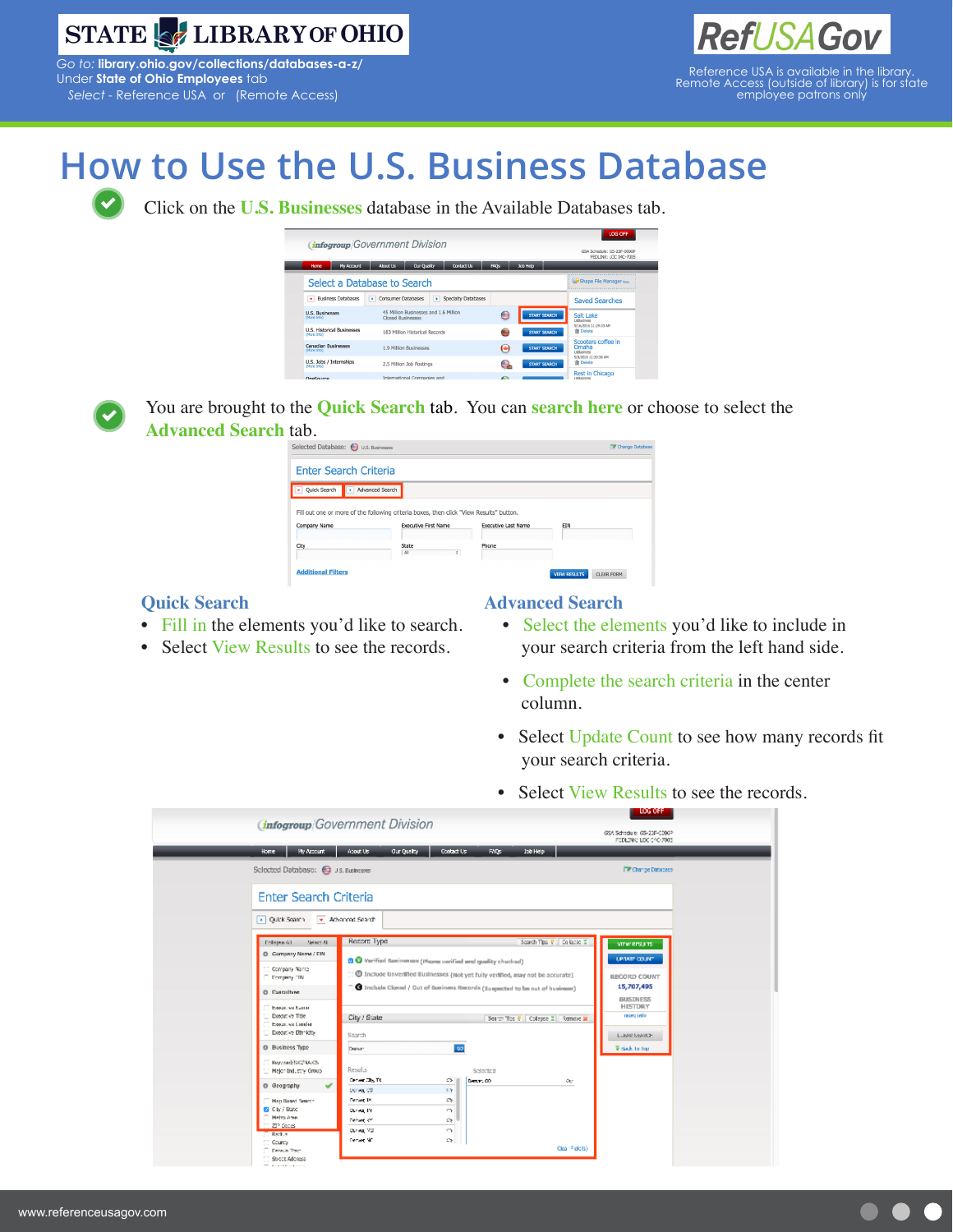

*Go to:* **[library.ohio.gov/collections/databases-a-z/](http://library.ohio.gov/collections/databases-a-z/)** Under **State of Ohio Employees** tab *Select -* Reference USA or (Remote Access)



## **How to Use the U.S. Business Database**

Click on the **U.S. Businesses** database in the Available Databases tab.

| <b>LOG OFF</b><br><b><i>infogroup</i></b> Government Division<br>GSA Schedule: GS-23F-0096P<br>FEDLINK: LOC 04C-7005 |                             |                          |                                       |                     |              |                     |                 |                                                                          |  |  |  |
|----------------------------------------------------------------------------------------------------------------------|-----------------------------|--------------------------|---------------------------------------|---------------------|--------------|---------------------|-----------------|--------------------------------------------------------------------------|--|--|--|
| <b>Home</b>                                                                                                          | My Account                  | About Us                 | Our Quality                           | <b>Contact Us</b>   | <b>FAOS</b>  | Job Help            |                 |                                                                          |  |  |  |
|                                                                                                                      | Select a Database to Search |                          |                                       |                     |              |                     |                 |                                                                          |  |  |  |
| <b>Business Databases</b><br>٠                                                                                       |                             | Consumer Databases<br>×  | œ.                                    | Specialty Databases |              |                     |                 | <b>Saved Searches</b>                                                    |  |  |  |
| <b>U.S. Businesses</b><br>(More Info)                                                                                |                             | Closed Businesses        | 45 Million Businesses and 1.6 Million |                     | €            | START SEARCH        |                 | Salt Lake<br>Listharinaec                                                |  |  |  |
| <b>U.S. Historical Businesses</b><br>(More Info)                                                                     |                             |                          | 183 Million Historical Records        |                     | €            | <b>START SEARCH</b> |                 | 5/16/2016 11:29:03 AM<br><b>音 Delete</b>                                 |  |  |  |
| <b>Canadian Businesses</b><br>(More Info)                                                                            |                             | 1.9 Million Businesses   |                                       |                     | $\bullet$    | <b>START SEARCH</b> |                 | Scooters coffee in<br>Omaha<br><b>UsBusiness</b><br>5/9/2016 11:20:38 AM |  |  |  |
| U.S. Jobs / Internships<br>(More Info)                                                                               |                             | 2.5 Million Job Postings |                                       | e                   | START SEARCH |                     | <b>音 Delete</b> |                                                                          |  |  |  |
| 0.000                                                                                                                |                             |                          | International Companies and           |                     | $\sqrt{2}$   |                     |                 | <b>Rest in Chicago</b><br>Listin stimmer                                 |  |  |  |



You are brought to the **Quick Search** tab. You can **search here** or choose to select the **Advanced Search** tab.

| Selected Database: (2) U.S. Businesses |                                                                                                                        |                            | Change Database |
|----------------------------------------|------------------------------------------------------------------------------------------------------------------------|----------------------------|-----------------|
| <b>Enter Search Criteria</b>           |                                                                                                                        |                            |                 |
| <b>Ouick Search</b><br>×               | Advanced Search                                                                                                        |                            |                 |
|                                        |                                                                                                                        |                            |                 |
|                                        |                                                                                                                        |                            |                 |
| Company Name                           | Fill out one or more of the following criteria boxes, then click "View Results" button.<br><b>Executive First Name</b> | <b>Executive Last Name</b> | EIN             |
| City                                   | <b>State</b><br>All<br>٠                                                                                               | Phone                      |                 |

## **Quick Search**

- Fill in the elements you'd like to search.
- Select View Results to see the records.

## **Advanced Search**

- Select the elements you'd like to include in your search criteria from the left hand side.
- Complete the search criteria in the center column.
- Select Update Count to see how many records fit your search criteria.
- Select View Results to see the records.

|                                            |                                               |                                                                                    |                     |                                |                                       | <b>DOM: NUT</b>                                      |  |
|--------------------------------------------|-----------------------------------------------|------------------------------------------------------------------------------------|---------------------|--------------------------------|---------------------------------------|------------------------------------------------------|--|
|                                            |                                               | <b><i>Infogroup</i></b> Government Division                                        |                     |                                |                                       |                                                      |  |
|                                            |                                               |                                                                                    |                     |                                |                                       | GSA Schedule: GS-23F-009GP<br>PEDILINK: LOC 04C-7005 |  |
| Home                                       | <b>Wy Account</b>                             | About Us<br>Our Quality                                                            | Contact Us          | <b>Job Help</b><br><b>EM25</b> |                                       |                                                      |  |
|                                            |                                               |                                                                                    |                     |                                |                                       |                                                      |  |
|                                            | Selected Database: <a> Selected Database:</a> |                                                                                    |                     |                                |                                       | TV Change Database                                   |  |
|                                            |                                               |                                                                                    |                     |                                |                                       |                                                      |  |
|                                            | <b>Enter Search Criteria</b>                  |                                                                                    |                     |                                |                                       |                                                      |  |
|                                            |                                               |                                                                                    |                     |                                |                                       |                                                      |  |
| D. Quick Search                            | - Advanced Search                             |                                                                                    |                     |                                |                                       |                                                      |  |
|                                            |                                               |                                                                                    |                     |                                |                                       |                                                      |  |
| <b>Dollarge All</b>                        | Select ALL                                    | Record Type                                                                        |                     |                                | Search Tips R Collapse II             | VIEW RESULTS.                                        |  |
| C Company Name / EIN                       |                                               | <b>Q</b> Verified Basinesses (Phone verified and quality checked)                  |                     |                                |                                       | UPRATE COUNT.                                        |  |
| Company Name                               |                                               | [10] Include Unvertified Businesses (Not yet fully vertified, may not be accurate) |                     |                                |                                       |                                                      |  |
| Company FIN                                |                                               |                                                                                    |                     |                                |                                       | RECORD COUNT<br>15,707,495                           |  |
| <b>C Executives</b>                        |                                               | 1 Include Clased / Out of Business Records (Suspected to be out of business)       |                     |                                |                                       | <b>BUSINESS</b>                                      |  |
| Едица, чи Кытты                            |                                               |                                                                                    |                     |                                |                                       | <b>HISTORY</b>                                       |  |
| Executive Title                            |                                               | City / State                                                                       |                     |                                | Search Tips R   Collepse Z   Remove M | ntore info                                           |  |
| Executives Concler-<br>Executive Ethnicity |                                               | Sparch                                                                             |                     |                                |                                       | <b>CLEAR SEARCH</b>                                  |  |
| O Business Type                            |                                               |                                                                                    |                     |                                |                                       |                                                      |  |
|                                            |                                               | Depart                                                                             | -60                 |                                |                                       | <b>Visited</b> , for their                           |  |
|                                            | Reynami/SIC/NAICS<br>Major Industry Group     | Results                                                                            |                     | Selected                       |                                       |                                                      |  |
|                                            |                                               | Denver City, TX                                                                    | $\Rightarrow$       | Denver, CO                     | OU.                                   |                                                      |  |
| @ Geography                                | v                                             | Denver CO                                                                          | 11%                 |                                |                                       |                                                      |  |
| Map Based Search                           |                                               | Denver 19.                                                                         | $\Rightarrow$       |                                |                                       |                                                      |  |
| C Cty / State<br>Netro Area                |                                               | Danwar 19                                                                          | C'y                 |                                |                                       |                                                      |  |
| ZP Secas                                   |                                               | Denver of<br>Danwa, VO                                                             | $\mathbb{C}$<br>CV. |                                |                                       |                                                      |  |
| Reckle                                     |                                               | Denve W1                                                                           | $\mathbb{C}$        |                                |                                       |                                                      |  |
| County<br><b>Densus Tract</b>              |                                               |                                                                                    |                     |                                | Clear Field(s)                        |                                                      |  |
| Stroct Address                             |                                               |                                                                                    |                     |                                |                                       |                                                      |  |